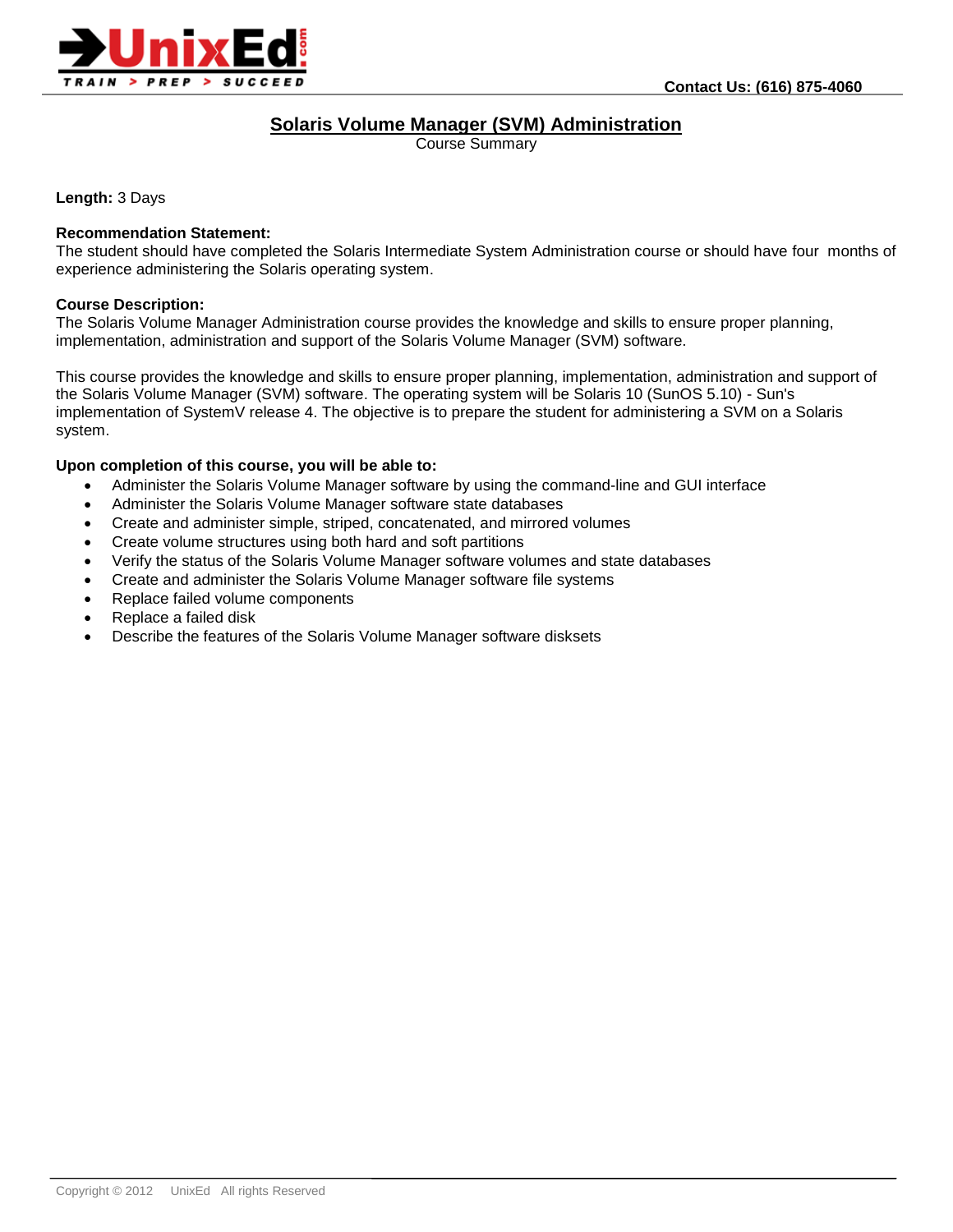

# **Solaris Volume Manager (SVM) Administration**

Course Summary

**Length:** 3 Days

#### **Recommendation Statement:**

The student should have completed the Solaris Intermediate System Administration course or should have four months of experience administering the Solaris operating system.

#### **Course Description:**

The Solaris Volume Manager Administration course provides the knowledge and skills to ensure proper planning, implementation, administration and support of the Solaris Volume Manager (SVM) software.

This course provides the knowledge and skills to ensure proper planning, implementation, administration and support of the Solaris Volume Manager (SVM) software. The operating system will be Solaris 10 (SunOS 5.10) - Sun's implementation of SystemV release 4. The objective is to prepare the student for administering a SVM on a Solaris system.

#### **Upon completion of this course, you will be able to:**

- Administer the Solaris Volume Manager software by using the command-line and GUI interface
- Administer the Solaris Volume Manager software state databases
- Create and administer simple, striped, concatenated, and mirrored volumes
- Create volume structures using both hard and soft partitions
- Verify the status of the Solaris Volume Manager software volumes and state databases
- Create and administer the Solaris Volume Manager software file systems
- Replace failed volume components
- Replace a failed disk
- Describe the features of the Solaris Volume Manager software disksets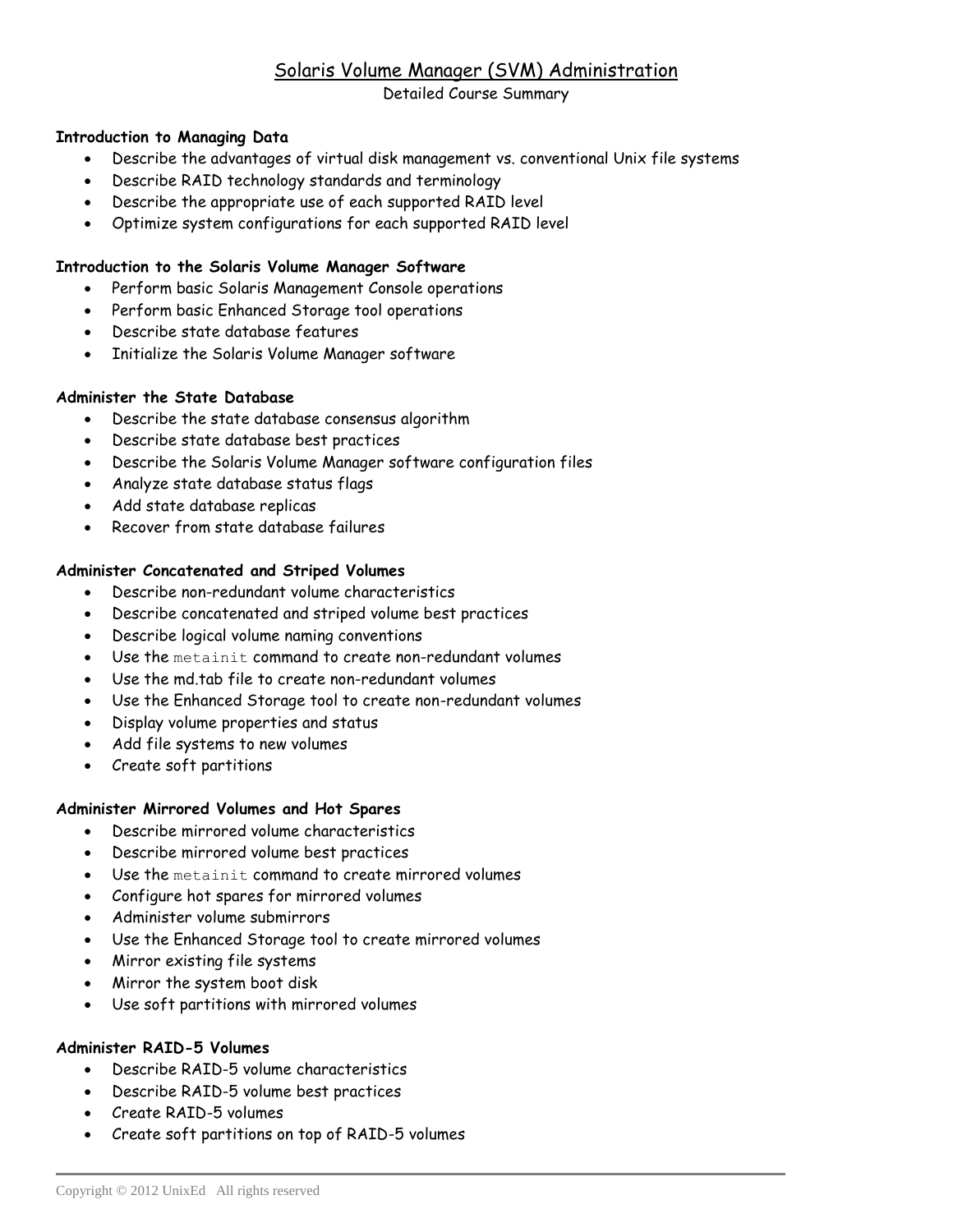# Solaris Volume Manager (SVM) Administration

# Detailed Course Summary

# **Introduction to Managing Data**

- Describe the advantages of virtual disk management vs. conventional Unix file systems
- Describe RAID technology standards and terminology
- Describe the appropriate use of each supported RAID level
- Optimize system configurations for each supported RAID level

### **Introduction to the Solaris Volume Manager Software**

- Perform basic Solaris Management Console operations
- Perform basic Enhanced Storage tool operations
- Describe state database features
- Initialize the Solaris Volume Manager software

## **Administer the State Database**

- Describe the state database consensus algorithm
- Describe state database best practices
- Describe the Solaris Volume Manager software configuration files
- Analyze state database status flags
- Add state database replicas
- Recover from state database failures

## **Administer Concatenated and Striped Volumes**

- Describe non-redundant volume characteristics
- Describe concatenated and striped volume best practices
- Describe logical volume naming conventions
- Use the metainit command to create non-redundant volumes
- Use the md.tab file to create non-redundant volumes
- Use the Enhanced Storage tool to create non-redundant volumes
- Display volume properties and status
- Add file systems to new volumes
- Create soft partitions

#### **Administer Mirrored Volumes and Hot Spares**

- Describe mirrored volume characteristics
- Describe mirrored volume best practices
- Use the metainit command to create mirrored volumes
- Configure hot spares for mirrored volumes
- Administer volume submirrors
- Use the Enhanced Storage tool to create mirrored volumes
- Mirror existing file systems
- Mirror the system boot disk
- Use soft partitions with mirrored volumes

#### **Administer RAID-5 Volumes**

- Describe RAID-5 volume characteristics
- Describe RAID-5 volume best practices
- Create RAID-5 volumes
- Create soft partitions on top of RAID-5 volumes